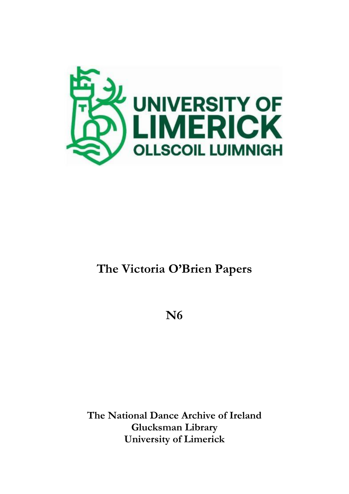

# **The Victoria O'Brien Papers**

**N6**

**The National Dance Archive of Ireland Glucksman Library University of Limerick**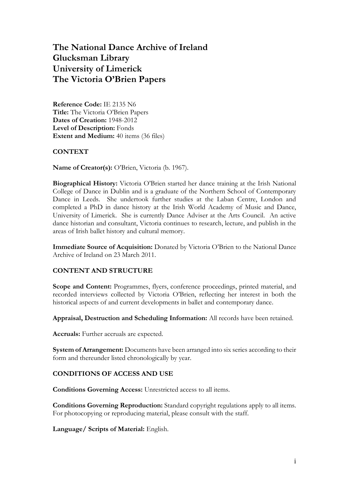### **The National Dance Archive of Ireland Glucksman Library University of Limerick The Victoria O'Brien Papers**

**Reference Code:** IE 2135 N6 **Title:** The Victoria O'Brien Papers **Dates of Creation:** 1948-2012 **Level of Description:** Fonds **Extent and Medium:** 40 items (36 files)

#### **CONTEXT**

**Name of Creator(s):** O'Brien, Victoria (b. 1967).

**Biographical History:** Victoria O'Brien started her dance training at the Irish National College of Dance in Dublin and is a graduate of the Northern School of Contemporary Dance in Leeds. She undertook further studies at the Laban Centre, London and completed a PhD in dance history at the Irish World Academy of Music and Dance, University of Limerick. She is currently Dance Adviser at the Arts Council. An active dance historian and consultant, Victoria continues to research, lecture, and publish in the areas of Irish ballet history and cultural memory.

**Immediate Source of Acquisition:** Donated by Victoria O'Brien to the National Dance Archive of Ireland on 23 March 2011.

#### **CONTENT AND STRUCTURE**

**Scope and Content:** Programmes, flyers, conference proceedings, printed material, and recorded interviews collected by Victoria O'Brien, reflecting her interest in both the historical aspects of and current developments in ballet and contemporary dance.

**Appraisal, Destruction and Scheduling Information:** All records have been retained.

**Accruals:** Further accruals are expected.

**System of Arrangement:** Documents have been arranged into six series according to their form and thereunder listed chronologically by year.

#### **CONDITIONS OF ACCESS AND USE**

**Conditions Governing Access:** Unrestricted access to all items.

**Conditions Governing Reproduction:** Standard copyright regulations apply to all items. For photocopying or reproducing material, please consult with the staff.

**Language/ Scripts of Material:** English.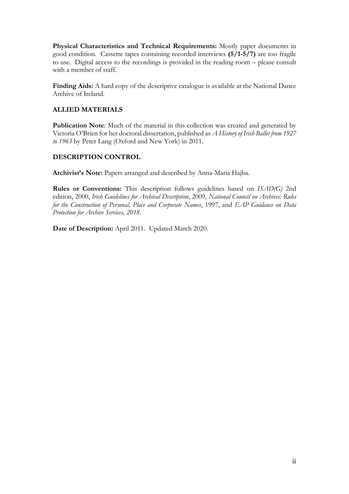**Physical Characteristics and Technical Requirements:** Mostly paper documents in good condition. Cassette tapes containing recorded interviews **(5/1-5/7)** are too fragile to use. Digital access to the recordings is provided in the reading room – please consult with a member of staff.

**Finding Aids:** A hard copy of the descriptive catalogue is available at the National Dance Archive of Ireland.

#### **ALLIED MATERIALS**

**Publication Note**: Much of the material in this collection was created and generated by Victoria O'Brien for her doctoral dissertation, published as *A History of Irish Ballet from 1927 to 1963* by Peter Lang (Oxford and New York) in 2011.

#### **DESCRIPTION CONTROL**

**Archivist's Note:** Papers arranged and described by Anna-Maria Hajba.

**Rules or Conventions:** This description follows guidelines based on *ISAD(G)* 2nd edition, 2000, *Irish Guidelines for Archival Description*, 2009, *National Council on Archives: Rules for the Construction of Personal, Place and Corporate Names*, 1997, and *EAP Guidance on Data Protection for Archive Services, 2018*.

**Date of Description:** April 2011. Updated March 2020.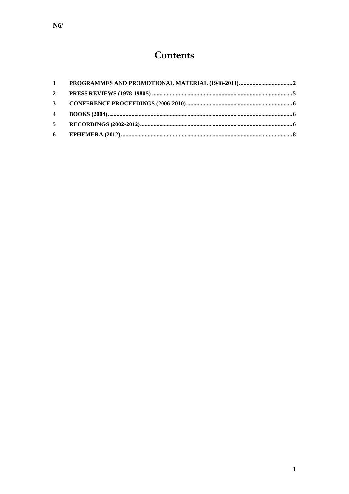## Contents

| $\mathbf{2}$   |  |
|----------------|--|
|                |  |
| $\overline{4}$ |  |
| $5^{\circ}$    |  |
|                |  |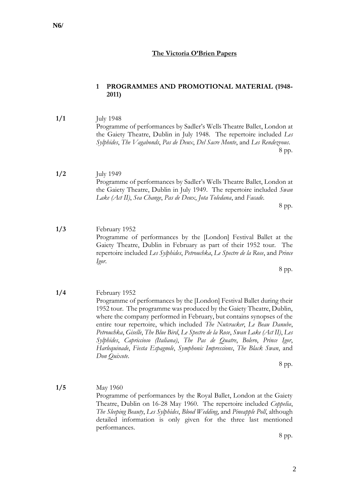#### **The Victoria O'Brien Papers**

#### <span id="page-4-0"></span>**1 PROGRAMMES AND PROMOTIONAL MATERIAL (1948- 2011)**

- **1/1** July 1948 Programme of performances by Sadler's Wells Theatre Ballet, London at the Gaiety Theatre, Dublin in July 1948. The repertoire included *Les Sylphides*, *The Vagabonds*, *Pas de Deux*, *Del Sacre Monte*, and *Les Rendezvous*. 8 pp.
- **1/2** July 1949 Programme of performances by Sadler's Wells Theatre Ballet, London at the Gaiety Theatre, Dublin in July 1949. The repertoire included *Swan Lake (Act II)*, *Sea Change*, *Pas de Deux*, *Jota Toledana*, and *Facade*.

8 pp.

**1/3** February 1952 Programme of performances by the [London] Festival Ballet at the Gaiety Theatre, Dublin in February as part of their 1952 tour. The repertoire included *Les Sylphides*, *Petrouchka*, *Le Spectre de la Rose*, and *Prince Igor*.

8 pp.

**1/4** February 1952 Programme of performances by the [London] Festival Ballet during their 1952 tour. The programme was produced by the Gaiety Theatre, Dublin, where the company performed in February, but contains synopses of the entire tour repertoire, which included *The Nutcracker*, *Le Beau Danube*, *Petrouchka*, *Giselle*, *The Blue Bird*, *Le Spectre de la Rose*, *Swan Lake (Act II)*, *Les Sylphides*, *Capriccioso (Italiana)*, *The Pas de Quatre*, *Bolero*, *Prince Igor*, *Harlequinade*, *Fiesta Espagnole*, *Symphonic Impressions*, *The Black Swan*, and *Don Quixote*.

8 pp.

**1/5** May 1960 Programme of performances by the Royal Ballet, London at the Gaiety Theatre, Dublin on 16-28 May 1960. The repertoire included *Coppelia*, *The Sleeping Beauty*, *Les Sylphides*, *Blood Wedding*, and *Pineapple Poll*, although detailed information is only given for the three last mentioned performances.

8 pp.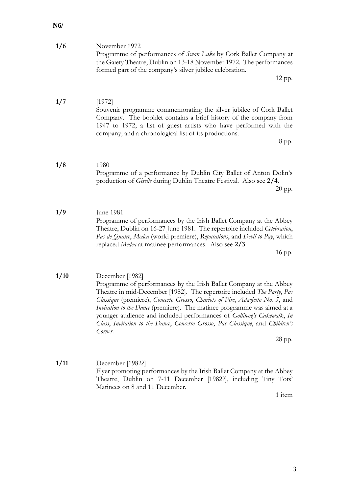| 1/6 | November 1972                                                           |
|-----|-------------------------------------------------------------------------|
|     | Programme of performances of <i>Swan Lake</i> by Cork Ballet Company at |
|     | the Gaiety Theatre, Dublin on 13-18 November 1972. The performances     |
|     | formed part of the company's silver jubilee celebration.                |
|     |                                                                         |

12 pp.

**1/7** [1972] Souvenir programme commemorating the silver jubilee of Cork Ballet Company. The booklet contains a brief history of the company from 1947 to 1972; a list of guest artists who have performed with the company; and a chronological list of its productions.

8 pp.

- **1/8** 1980 Programme of a performance by Dublin City Ballet of Anton Dolin's production of *Giselle* during Dublin Theatre Festival. Also see **2/4**. 20 pp.
- **1/9** June 1981 Programme of performances by the Irish Ballet Company at the Abbey Theatre, Dublin on 16-27 June 1981. The repertoire included *Celebration*, *Pas de Quatre*, *Medea* (world premiere), *Reputations*, and *Devil to Pay*, which replaced *Medea* at matinee performances. Also see **2/3**.

16 pp.

**1/10** December [1982] Programme of performances by the Irish Ballet Company at the Abbey Theatre in mid-December [1982]. The repertoire included *The Party*, *Pas Classique* (premiere), *Concerto Grosso*, *Chariots of Fire*, *Adagietto No. 5*, and *Invitation to the Dance* (premiere). The matinee programme was aimed at a younger audience and included performances of *Golliwog's Cakewalk*, *In Class*, *Invitation to the Dance*, *Concerto Grosso*, *Pas Classique*, and *Children's Corner*.

28 pp.

**1/11** December [1982?] Flyer promoting performances by the Irish Ballet Company at the Abbey Theatre, Dublin on 7-11 December [1982?], including Tiny Tots' Matinees on 8 and 11 December.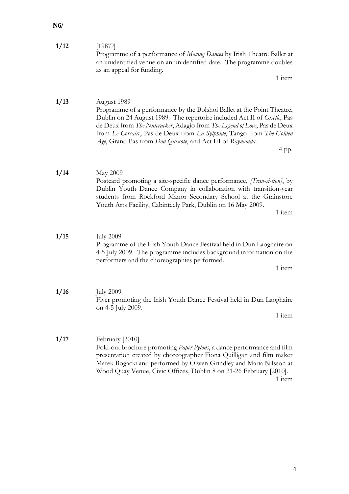| 1/13 | August 1989<br>Programme of a performance by the Bolshoi Ballet at the Point Theatre,<br>Dublin on 24 August 1989. The repertoire included Act II of <i>Giselle</i> , Pas<br>de Deux from The Nutcracker, Adagio from The Legend of Love, Pas de Deux<br>from Le Corsaire, Pas de Deux from La Sylphide, Tango from The Golden<br>Age, Grand Pas from Don Quixote, and Act III of Raymonda.<br>4 pp. |
|------|------------------------------------------------------------------------------------------------------------------------------------------------------------------------------------------------------------------------------------------------------------------------------------------------------------------------------------------------------------------------------------------------------|
| 1/14 | May 2009<br>Postcard promoting a site-specific dance performance, <i>[Tran-si-tion]</i> , by<br>Dublin Youth Dance Company in collaboration with transition-year<br>students from Rockford Manor Secondary School at the Grainstore<br>Youth Arts Facility, Cabinteely Park, Dublin on 16 May 2009.<br>1 item                                                                                        |
| 1/15 | <b>July 2009</b><br>Programme of the Irish Youth Dance Festival held in Dun Laoghaire on<br>4-5 July 2009. The programme includes background information on the<br>performers and the choreographies performed.<br>1 item                                                                                                                                                                            |
| 1/16 | <b>July 2009</b><br>Flyer promoting the Irish Youth Dance Festival held in Dun Laoghaire<br>on 4-5 July 2009.<br>1 item                                                                                                                                                                                                                                                                              |
| 1/17 | February [2010]<br>Fold-out brochure promoting Paper Pylons, a dance performance and film<br>presentation created by choreographer Fiona Quilligan and film maker<br>Marek Bogacki and performed by Olwen Grindley and Maria Nilsson at<br>Wood Quay Venue, Civic Offices, Dublin 8 on 21-26 February [2010].<br>1 item                                                                              |

Programme of a performance of *Moving Dances* by Irish Theatre Ballet at an unidentified venue on an unidentified date. The programme doubles as an appeal for funding.

1 item

**1/12** [1987?]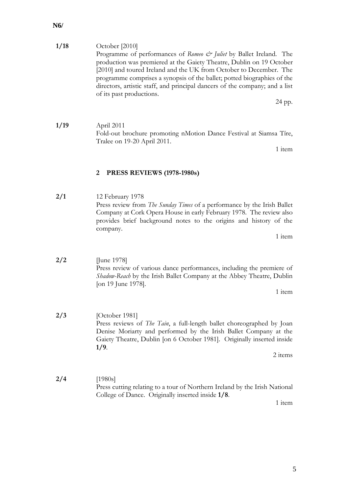| 1/18 | October [2010]                                                              |
|------|-----------------------------------------------------------------------------|
|      | Programme of performances of Romeo & Juliet by Ballet Ireland. The          |
|      | production was premiered at the Gaiety Theatre, Dublin on 19 October        |
|      | [2010] and toured Ireland and the UK from October to December. The          |
|      | programme comprises a synopsis of the ballet; potted biographies of the     |
|      | directors, artistic staff, and principal dancers of the company; and a list |
|      | of its past productions.                                                    |
|      | 24 pp.                                                                      |

**1/19** April 2011 Fold-out brochure promoting nMotion Dance Festival at Siamsa Tíre, Tralee on 19-20 April 2011.

1 item

#### <span id="page-7-0"></span>**2 PRESS REVIEWS (1978-1980s)**

**2/1** 12 February 1978 Press review from *The Sunday Times* of a performance by the Irish Ballet Company at Cork Opera House in early February 1978. The review also provides brief background notes to the origins and history of the company.

1 item

**2/2** [June 1978] Press review of various dance performances, including the premiere of *Shadow-Reach* by the Irish Ballet Company at the Abbey Theatre, Dublin [on 19 June 1978].

1 item

- **2/3** [October 1981] Press reviews of *The Tain*, a full-length ballet choreographed by Joan Denise Moriarty and performed by the Irish Ballet Company at the Gaiety Theatre, Dublin [on 6 October 1981]. Originally inserted inside **1/9**.
	- 2 items
- **2/4** [1980s] Press cutting relating to a tour of Northern Ireland by the Irish National College of Dance. Originally inserted inside **1/8**.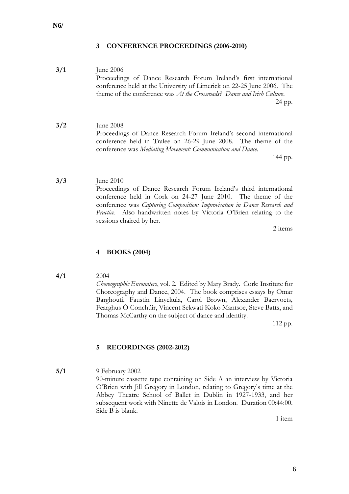#### <span id="page-8-0"></span>**3 CONFERENCE PROCEEDINGS (2006-2010)**

- **3/1** June 2006 Proceedings of Dance Research Forum Ireland's first international conference held at the University of Limerick on 22-25 June 2006. The theme of the conference was *At the Crossroads? Dance and Irish Culture*. 24 pp.
- **3/2** June 2008 Proceedings of Dance Research Forum Ireland's second international conference held in Tralee on 26-29 June 2008. The theme of the conference was *Mediating Movement: Communication and Dance*.

144 pp.

**3/3** June 2010 Proceedings of Dance Research Forum Ireland's third international conference held in Cork on 24-27 June 2010. The theme of the conference was *Capturing Composition: Improvisation in Dance Research and Practice*. Also handwritten notes by Victoria O'Brien relating to the sessions chaired by her.

2 items

#### <span id="page-8-1"></span>**4 BOOKS (2004)**

**4/1** 2004

*Choreographic Encounters*, vol. 2. Edited by Mary Brady. Cork: Institute for Choreography and Dance, 2004. The book comprises essays by Omar Barghouti, Faustin Linyckula, Carol Brown, Alexander Baervoets, Fearghus Ó Conchúir, Vincent Sekwati Koko Mantsoe, Steve Batts, and Thomas McCarthy on the subject of dance and identity.

112 pp.

#### <span id="page-8-2"></span>**5 RECORDINGS (2002-2012)**

**5/1** 9 February 2002 90-minute cassette tape containing on Side A an interview by Victoria O'Brien with Jill Gregory in London, relating to Gregory's time at the Abbey Theatre School of Ballet in Dublin in 1927-1933, and her subsequent work with Ninette de Valois in London. Duration 00:44:00. Side B is blank.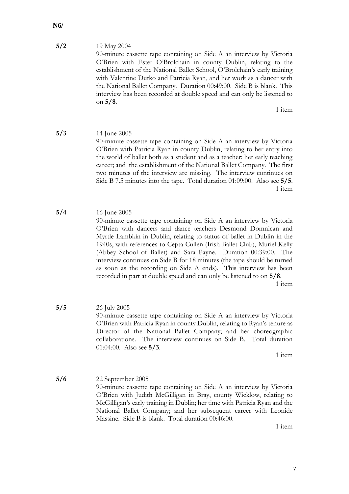#### **N6/**

#### **5/2** 19 May 2004

90-minute cassette tape containing on Side A an interview by Victoria O'Brien with Ester O'Brolchain in county Dublin, relating to the establishment of the National Ballet School, O'Brolchain's early training with Valentine Dutko and Patricia Ryan, and her work as a dancer with the National Ballet Company. Duration 00:49:00. Side B is blank. This interview has been recorded at double speed and can only be listened to on **5/8**.

1 item

- **5/3** 14 June 2005 90-minute cassette tape containing on Side A an interview by Victoria O'Brien with Patricia Ryan in county Dublin, relating to her entry into the world of ballet both as a student and as a teacher; her early teaching career; and the establishment of the National Ballet Company. The first two minutes of the interview are missing. The interview continues on Side B 7.5 minutes into the tape. Total duration 01:09:00. Also see **5/5**. 1 item
- **5/4** 16 June 2005 90-minute cassette tape containing on Side A an interview by Victoria O'Brien with dancers and dance teachers Desmond Domnican and Myrtle Lambkin in Dublin, relating to status of ballet in Dublin in the 1940s, with references to Cepta Cullen (Irish Ballet Club), Muriel Kelly (Abbey School of Ballet) and Sara Payne. Duration 00:39:00. The interview continues on Side B for 18 minutes (the tape should be turned as soon as the recording on Side A ends). This interview has been recorded in part at double speed and can only be listened to on **5/8**.

1 item

**5/5** 26 July 2005 90-minute cassette tape containing on Side A an interview by Victoria O'Brien with Patricia Ryan in county Dublin, relating to Ryan's tenure as Director of the National Ballet Company; and her choreographic collaborations. The interview continues on Side B. Total duration 01:04:00. Also see **5/3**.

1 item

**5/6** 22 September 2005 90-minute cassette tape containing on Side A an interview by Victoria O'Brien with Judith McGilligan in Bray, county Wicklow, relating to McGilligan's early training in Dublin; her time with Patricia Ryan and the National Ballet Company; and her subsequent career with Leonide Massine. Side B is blank. Total duration 00:46:00.